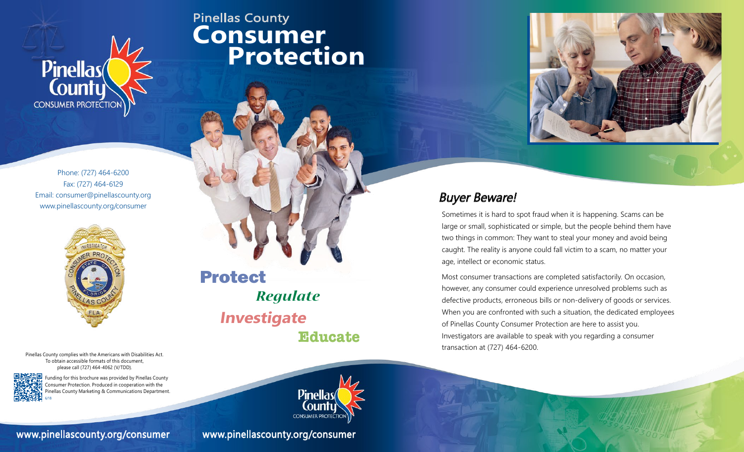

Phone: (727) 464-6200 Fax: (727) 464-6129 Email: consumer@pinellascounty.org Email: consumer@pinellascounty.org<br>www.pinellascounty.org/consumer **Buyer Beware!** 



Pinellas County complies with the Americans with Disabilities Act. To obtain accessible formats of this document, please call (727) 464-4062 (V/TDD).



6/18

県 Funding for this brochure was provided by Pinellas County Consumer Protection. Produced in cooperation with the Pinellas County Marketing & Communications Department.

#### www.pinellascounty.org/consumer www.pinellascounty.org/consumer

# Pinellas County **Consumer Protection**





Sometimes it is hard to spot fraud when it is happening. Scams can be large or small, sophisticated or simple, but the people behind them have two things in common: They want to steal your money and avoid being caught. The reality is anyone could fall victim to a scam, no matter your age, intellect or economic status.

Most consumer transactions are completed satisfactorily. On occasion, however, any consumer could experience unresolved problems such as defective products, erroneous bills or non-delivery of goods or services. When you are confronted with such a situation, the dedicated employees of Pinellas County Consumer Protection are here to assist you. Investigators are available to speak with you regarding a consumer transaction at (727) 464-6200.

Pinella **CONSUMER PROTECTION**